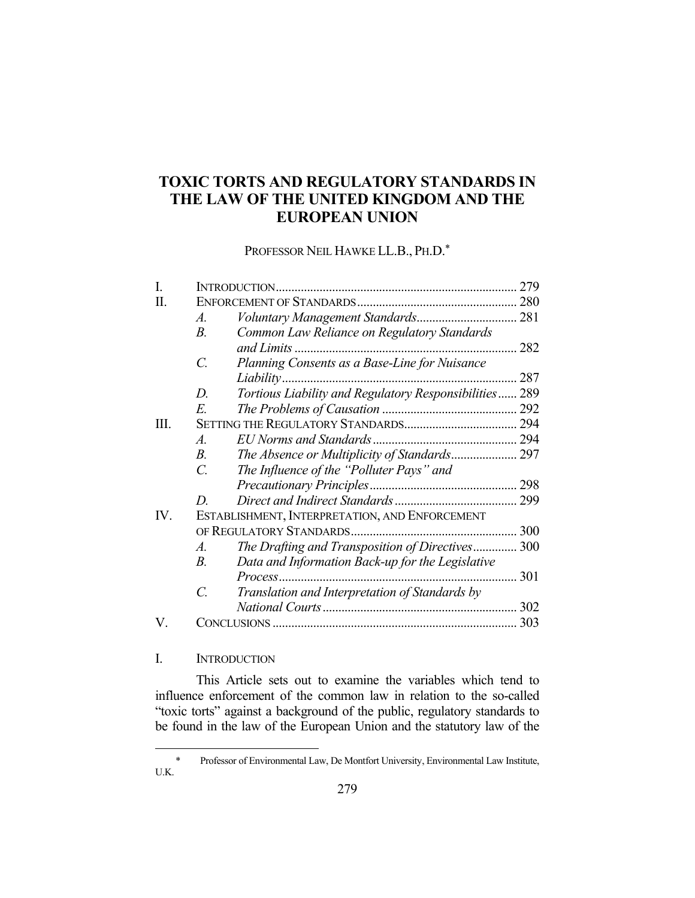# **TOXIC TORTS AND REGULATORY STANDARDS IN THE LAW OF THE UNITED KINGDOM AND THE EUROPEAN UNION**

PROFESSOR NEIL HAWKE LL.B., PH.D.\*

|      | INTRODUCTION.                                                      | 279 |
|------|--------------------------------------------------------------------|-----|
| Π.   |                                                                    |     |
|      | A.                                                                 |     |
|      | В.<br>Common Law Reliance on Regulatory Standards                  |     |
|      | and Limits                                                         | 282 |
|      | C.<br>Planning Consents as a Base-Line for Nuisance                |     |
|      | Liability                                                          | 287 |
|      | Tortious Liability and Regulatory Responsibilities 289<br>D.       |     |
|      | E.                                                                 |     |
| III. |                                                                    |     |
|      | A.                                                                 |     |
|      | $B_{\cdot}$                                                        |     |
|      | The Influence of the "Polluter Pays" and<br>C.                     |     |
|      |                                                                    |     |
|      | D                                                                  | 299 |
| IV.  | ESTABLISHMENT, INTERPRETATION, AND ENFORCEMENT                     |     |
|      | OF REGULATORY STANDARDS.                                           | 300 |
|      | The Drafting and Transposition of Directives 300<br>A.             |     |
|      | Data and Information Back-up for the Legislative<br>$B_{\cdot}$    |     |
|      | Process                                                            | 301 |
|      | Translation and Interpretation of Standards by<br>$\overline{C}$ . |     |
|      |                                                                    | 302 |
| V.   |                                                                    | 303 |

# I. INTRODUCTION

<u>.</u>

 This Article sets out to examine the variables which tend to influence enforcement of the common law in relation to the so-called "toxic torts" against a background of the public, regulatory standards to be found in the law of the European Union and the statutory law of the

 <sup>\*</sup> Professor of Environmental Law, De Montfort University, Environmental Law Institute, U.K.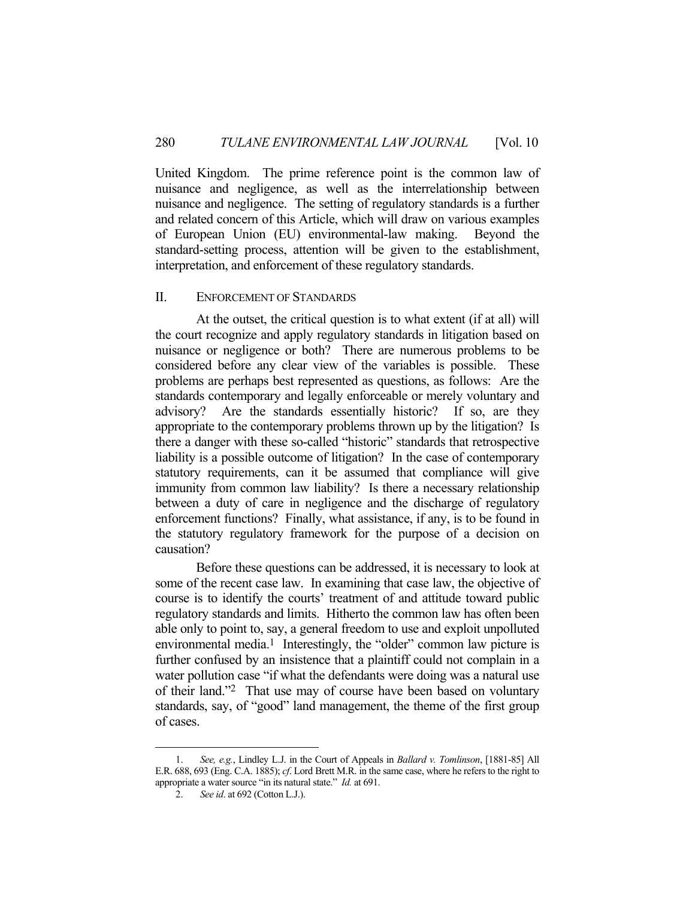United Kingdom. The prime reference point is the common law of nuisance and negligence, as well as the interrelationship between nuisance and negligence. The setting of regulatory standards is a further and related concern of this Article, which will draw on various examples of European Union (EU) environmental-law making. Beyond the standard-setting process, attention will be given to the establishment, interpretation, and enforcement of these regulatory standards.

### II. ENFORCEMENT OF STANDARDS

 At the outset, the critical question is to what extent (if at all) will the court recognize and apply regulatory standards in litigation based on nuisance or negligence or both? There are numerous problems to be considered before any clear view of the variables is possible. These problems are perhaps best represented as questions, as follows: Are the standards contemporary and legally enforceable or merely voluntary and advisory? Are the standards essentially historic? If so, are they appropriate to the contemporary problems thrown up by the litigation? Is there a danger with these so-called "historic" standards that retrospective liability is a possible outcome of litigation? In the case of contemporary statutory requirements, can it be assumed that compliance will give immunity from common law liability? Is there a necessary relationship between a duty of care in negligence and the discharge of regulatory enforcement functions? Finally, what assistance, if any, is to be found in the statutory regulatory framework for the purpose of a decision on causation?

Before these questions can be addressed, it is necessary to look at some of the recent case law. In examining that case law, the objective of course is to identify the courts' treatment of and attitude toward public regulatory standards and limits. Hitherto the common law has often been able only to point to, say, a general freedom to use and exploit unpolluted environmental media.<sup>1</sup> Interestingly, the "older" common law picture is further confused by an insistence that a plaintiff could not complain in a water pollution case "if what the defendants were doing was a natural use of their land."2 That use may of course have been based on voluntary standards, say, of "good" land management, the theme of the first group of cases.

 <sup>1.</sup> *See, e.g.*, Lindley L.J. in the Court of Appeals in *Ballard v. Tomlinson*, [1881-85] All E.R. 688, 693 (Eng. C.A. 1885); *cf*. Lord Brett M.R. in the same case, where he refers to the right to appropriate a water source "in its natural state." *Id.* at 691.

 <sup>2.</sup> *See id*. at 692 (Cotton L.J.).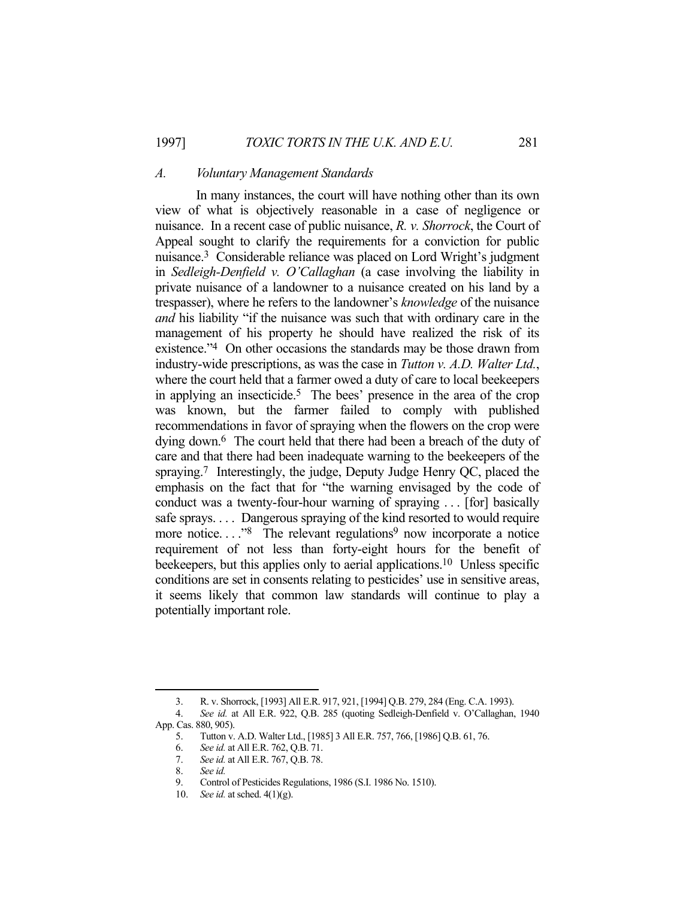#### *A. Voluntary Management Standards*

 In many instances, the court will have nothing other than its own view of what is objectively reasonable in a case of negligence or nuisance. In a recent case of public nuisance, *R. v. Shorrock*, the Court of Appeal sought to clarify the requirements for a conviction for public nuisance.3 Considerable reliance was placed on Lord Wright's judgment in *Sedleigh-Denfield v. O'Callaghan* (a case involving the liability in private nuisance of a landowner to a nuisance created on his land by a trespasser), where he refers to the landowner's *knowledge* of the nuisance *and* his liability "if the nuisance was such that with ordinary care in the management of his property he should have realized the risk of its existence."4 On other occasions the standards may be those drawn from industry-wide prescriptions, as was the case in *Tutton v. A.D. Walter Ltd.*, where the court held that a farmer owed a duty of care to local beekeepers in applying an insecticide.5 The bees' presence in the area of the crop was known, but the farmer failed to comply with published recommendations in favor of spraying when the flowers on the crop were dying down.6 The court held that there had been a breach of the duty of care and that there had been inadequate warning to the beekeepers of the spraying.<sup>7</sup> Interestingly, the judge, Deputy Judge Henry QC, placed the emphasis on the fact that for "the warning envisaged by the code of conduct was a twenty-four-hour warning of spraying . . . [for] basically safe sprays. . . . Dangerous spraying of the kind resorted to would require more notice...."<sup>8</sup> The relevant regulations<sup>9</sup> now incorporate a notice requirement of not less than forty-eight hours for the benefit of beekeepers, but this applies only to aerial applications.10 Unless specific conditions are set in consents relating to pesticides' use in sensitive areas, it seems likely that common law standards will continue to play a potentially important role.

 <sup>3.</sup> R. v. Shorrock, [1993] All E.R. 917, 921, [1994] Q.B. 279, 284 (Eng. C.A. 1993).

 <sup>4.</sup> *See id.* at All E.R. 922, Q.B. 285 (quoting Sedleigh-Denfield v. O'Callaghan, 1940 App. Cas. 880, 905).

 <sup>5.</sup> Tutton v. A.D. Walter Ltd., [1985] 3 All E.R. 757, 766, [1986] Q.B. 61, 76.

 <sup>6.</sup> *See id.* at All E.R. 762, Q.B. 71.

 <sup>7.</sup> *See id.* at All E.R. 767, Q.B. 78.

 <sup>8.</sup> *See id.*

 <sup>9.</sup> Control of Pesticides Regulations, 1986 (S.I. 1986 No. 1510).

 <sup>10.</sup> *See id.* at sched. 4(1)(g).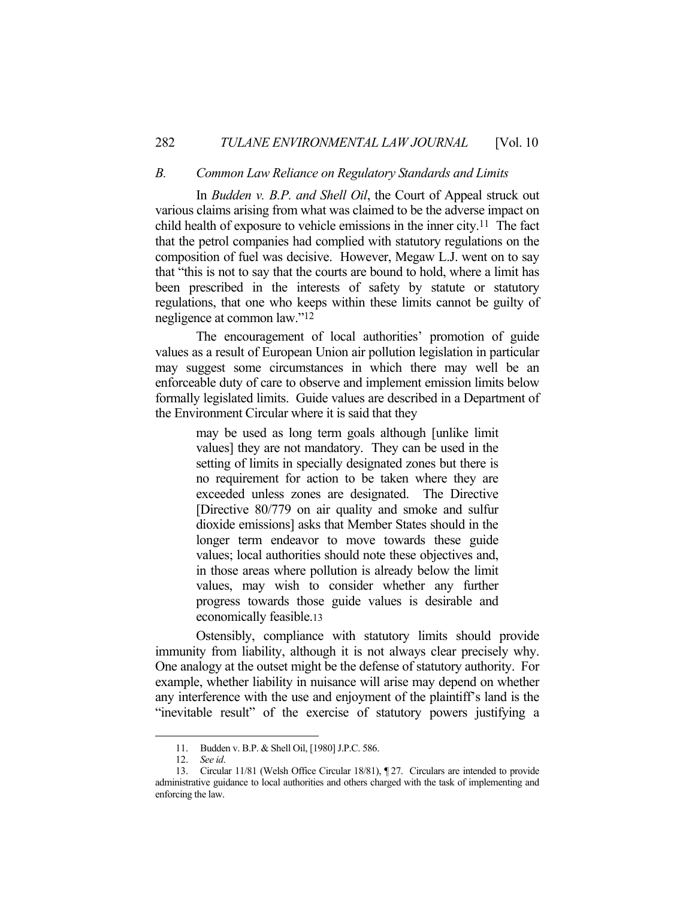#### *B. Common Law Reliance on Regulatory Standards and Limits*

 In *Budden v. B.P. and Shell Oil*, the Court of Appeal struck out various claims arising from what was claimed to be the adverse impact on child health of exposure to vehicle emissions in the inner city.<sup>11</sup> The fact that the petrol companies had complied with statutory regulations on the composition of fuel was decisive. However, Megaw L.J. went on to say that "this is not to say that the courts are bound to hold, where a limit has been prescribed in the interests of safety by statute or statutory regulations, that one who keeps within these limits cannot be guilty of negligence at common law."12

 The encouragement of local authorities' promotion of guide values as a result of European Union air pollution legislation in particular may suggest some circumstances in which there may well be an enforceable duty of care to observe and implement emission limits below formally legislated limits. Guide values are described in a Department of the Environment Circular where it is said that they

> may be used as long term goals although [unlike limit values] they are not mandatory. They can be used in the setting of limits in specially designated zones but there is no requirement for action to be taken where they are exceeded unless zones are designated. The Directive [Directive 80/779 on air quality and smoke and sulfur dioxide emissions] asks that Member States should in the longer term endeavor to move towards these guide values; local authorities should note these objectives and, in those areas where pollution is already below the limit values, may wish to consider whether any further progress towards those guide values is desirable and economically feasible.13

 Ostensibly, compliance with statutory limits should provide immunity from liability, although it is not always clear precisely why. One analogy at the outset might be the defense of statutory authority. For example, whether liability in nuisance will arise may depend on whether any interference with the use and enjoyment of the plaintiff's land is the "inevitable result" of the exercise of statutory powers justifying a

 <sup>11.</sup> Budden v. B.P. & Shell Oil, [1980] J.P.C. 586.

 <sup>12.</sup> *See id*.

 <sup>13.</sup> Circular 11/81 (Welsh Office Circular 18/81), ¶ 27. Circulars are intended to provide administrative guidance to local authorities and others charged with the task of implementing and enforcing the law.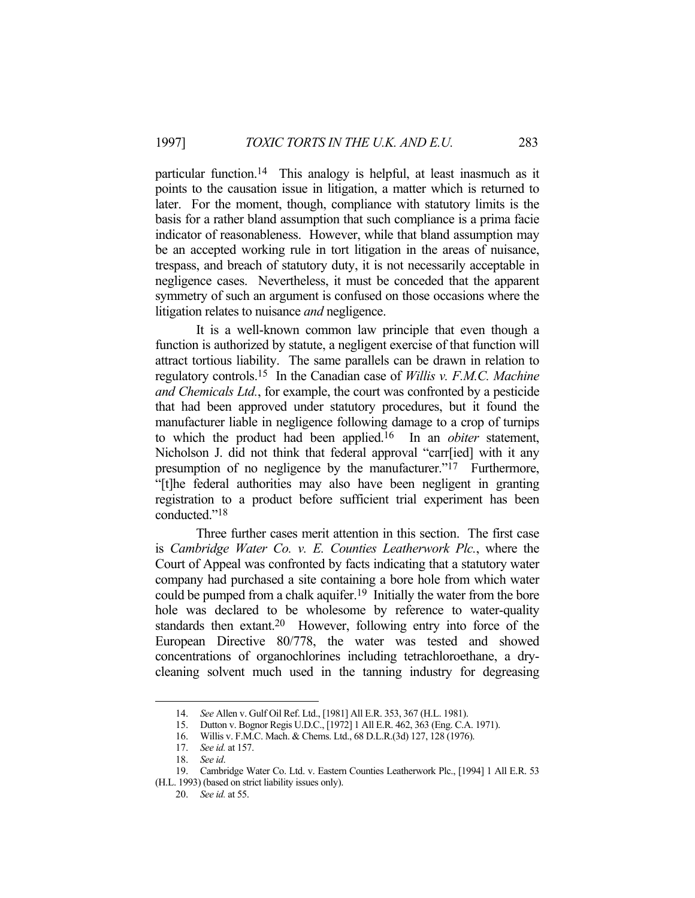particular function.14 This analogy is helpful, at least inasmuch as it points to the causation issue in litigation, a matter which is returned to later. For the moment, though, compliance with statutory limits is the basis for a rather bland assumption that such compliance is a prima facie indicator of reasonableness. However, while that bland assumption may be an accepted working rule in tort litigation in the areas of nuisance, trespass, and breach of statutory duty, it is not necessarily acceptable in negligence cases. Nevertheless, it must be conceded that the apparent symmetry of such an argument is confused on those occasions where the litigation relates to nuisance *and* negligence.

 It is a well-known common law principle that even though a function is authorized by statute, a negligent exercise of that function will attract tortious liability. The same parallels can be drawn in relation to regulatory controls.15 In the Canadian case of *Willis v. F.M.C. Machine and Chemicals Ltd.*, for example, the court was confronted by a pesticide that had been approved under statutory procedures, but it found the manufacturer liable in negligence following damage to a crop of turnips to which the product had been applied.16 In an *obiter* statement, Nicholson J. did not think that federal approval "carr[ied] with it any presumption of no negligence by the manufacturer."17 Furthermore, "[t]he federal authorities may also have been negligent in granting registration to a product before sufficient trial experiment has been conducted."18

 Three further cases merit attention in this section. The first case is *Cambridge Water Co. v. E. Counties Leatherwork Plc.*, where the Court of Appeal was confronted by facts indicating that a statutory water company had purchased a site containing a bore hole from which water could be pumped from a chalk aquifer.19 Initially the water from the bore hole was declared to be wholesome by reference to water-quality standards then extant.20 However, following entry into force of the European Directive 80/778, the water was tested and showed concentrations of organochlorines including tetrachloroethane, a drycleaning solvent much used in the tanning industry for degreasing

 <sup>14.</sup> *See* Allen v. Gulf Oil Ref. Ltd., [1981] All E.R. 353, 367 (H.L. 1981).

 <sup>15.</sup> Dutton v. Bognor Regis U.D.C., [1972] 1 All E.R. 462, 363 (Eng. C.A. 1971).

 <sup>16.</sup> Willis v. F.M.C. Mach. & Chems. Ltd., 68 D.L.R.(3d) 127, 128 (1976).

 <sup>17.</sup> *See id.* at 157.

 <sup>18.</sup> *See id*.

 <sup>19.</sup> Cambridge Water Co. Ltd. v. Eastern Counties Leatherwork Plc., [1994] 1 All E.R. 53

<sup>(</sup>H.L. 1993) (based on strict liability issues only).

 <sup>20.</sup> *See id.* at 55.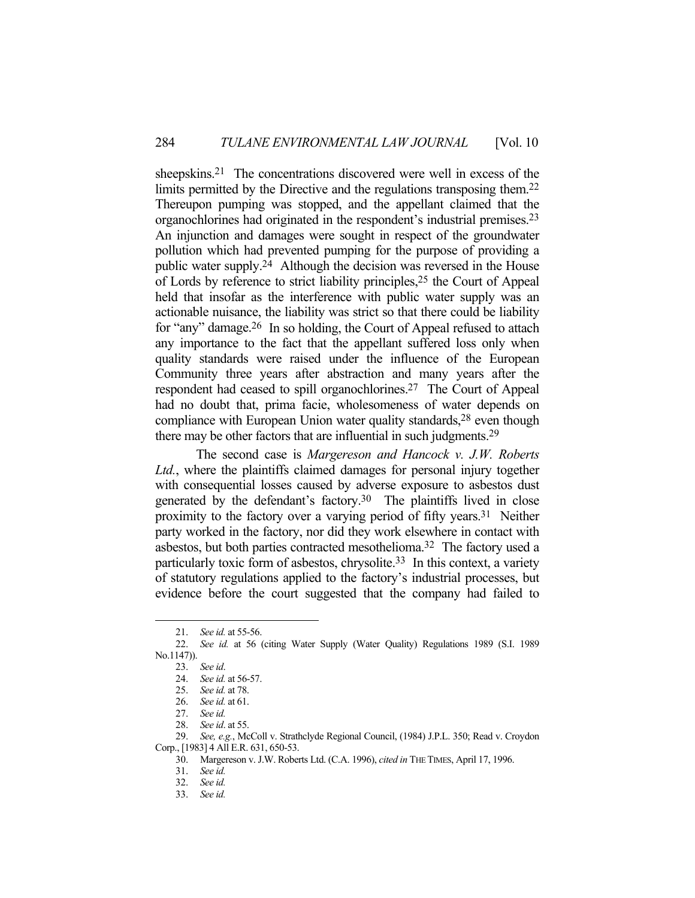sheepskins.<sup>21</sup> The concentrations discovered were well in excess of the limits permitted by the Directive and the regulations transposing them.<sup>22</sup> Thereupon pumping was stopped, and the appellant claimed that the organochlorines had originated in the respondent's industrial premises.23 An injunction and damages were sought in respect of the groundwater pollution which had prevented pumping for the purpose of providing a public water supply.24 Although the decision was reversed in the House of Lords by reference to strict liability principles,25 the Court of Appeal held that insofar as the interference with public water supply was an actionable nuisance, the liability was strict so that there could be liability for "any" damage.26 In so holding, the Court of Appeal refused to attach any importance to the fact that the appellant suffered loss only when quality standards were raised under the influence of the European Community three years after abstraction and many years after the respondent had ceased to spill organochlorines.27 The Court of Appeal had no doubt that, prima facie, wholesomeness of water depends on compliance with European Union water quality standards,<sup>28</sup> even though there may be other factors that are influential in such judgments.29

 The second case is *Margereson and Hancock v. J.W. Roberts Ltd.*, where the plaintiffs claimed damages for personal injury together with consequential losses caused by adverse exposure to asbestos dust generated by the defendant's factory.30 The plaintiffs lived in close proximity to the factory over a varying period of fifty years.31 Neither party worked in the factory, nor did they work elsewhere in contact with asbestos, but both parties contracted mesothelioma.32 The factory used a particularly toxic form of asbestos, chrysolite.33 In this context, a variety of statutory regulations applied to the factory's industrial processes, but evidence before the court suggested that the company had failed to

 <sup>21.</sup> *See id.* at 55-56.

 <sup>22.</sup> *See id.* at 56 (citing Water Supply (Water Quality) Regulations 1989 (S.I. 1989 No.1147)).

 <sup>23.</sup> *See id*.

 <sup>24.</sup> *See id.* at 56-57.

 <sup>25.</sup> *See id.* at 78.

 <sup>26.</sup> *See id.* at 61.

 <sup>27.</sup> *See id.* 

 <sup>28.</sup> *See id*. at 55.

 <sup>29.</sup> *See, e.g.*, McColl v. Strathclyde Regional Council, (1984) J.P.L. 350; Read v. Croydon Corp., [1983] 4 All E.R. 631, 650-53.

 <sup>30.</sup> Margereson v. J.W. Roberts Ltd. (C.A. 1996), *cited in* THE TIMES, April 17, 1996.

 <sup>31.</sup> *See id.*

 <sup>32.</sup> *See id.*

 <sup>33.</sup> *See id.*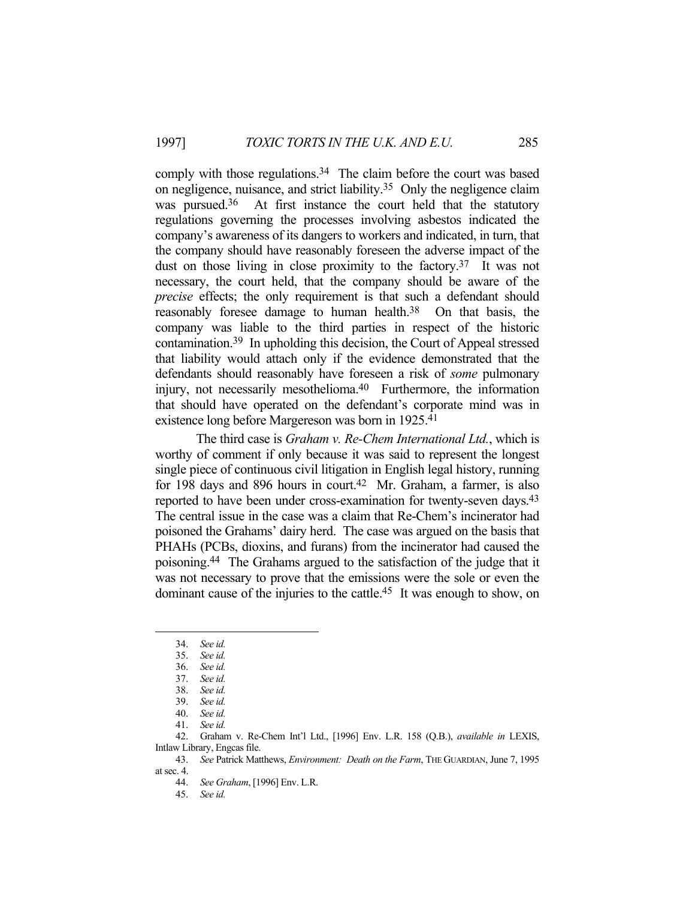comply with those regulations.<sup>34</sup> The claim before the court was based on negligence, nuisance, and strict liability.35 Only the negligence claim was pursued.<sup>36</sup> At first instance the court held that the statutory regulations governing the processes involving asbestos indicated the company's awareness of its dangers to workers and indicated, in turn, that the company should have reasonably foreseen the adverse impact of the dust on those living in close proximity to the factory.<sup>37</sup> It was not necessary, the court held, that the company should be aware of the *precise* effects; the only requirement is that such a defendant should reasonably foresee damage to human health.<sup>38</sup> On that basis, the company was liable to the third parties in respect of the historic contamination.39 In upholding this decision, the Court of Appeal stressed that liability would attach only if the evidence demonstrated that the defendants should reasonably have foreseen a risk of *some* pulmonary injury, not necessarily mesothelioma.40 Furthermore, the information that should have operated on the defendant's corporate mind was in existence long before Margereson was born in 1925.41

 The third case is *Graham v. Re-Chem International Ltd.*, which is worthy of comment if only because it was said to represent the longest single piece of continuous civil litigation in English legal history, running for 198 days and 896 hours in court.42 Mr. Graham, a farmer, is also reported to have been under cross-examination for twenty-seven days.<sup>43</sup> The central issue in the case was a claim that Re-Chem's incinerator had poisoned the Grahams' dairy herd. The case was argued on the basis that PHAHs (PCBs, dioxins, and furans) from the incinerator had caused the poisoning.44 The Grahams argued to the satisfaction of the judge that it was not necessary to prove that the emissions were the sole or even the dominant cause of the injuries to the cattle.<sup>45</sup> It was enough to show, on

 <sup>34.</sup> *See id.*

 <sup>35.</sup> *See id.*

 <sup>36.</sup> *See id.*

 <sup>37.</sup> *See id.*

 <sup>38.</sup> *See id.*

 <sup>39.</sup> *See id.*

 <sup>40.</sup> *See id.*

 <sup>41.</sup> *See id.*

 <sup>42.</sup> Graham v. Re-Chem Int'l Ltd., [1996] Env. L.R. 158 (Q.B.), *available in* LEXIS, Intlaw Library, Engcas file.

 <sup>43.</sup> *See* Patrick Matthews, *Environment: Death on the Farm*, THE GUARDIAN, June 7, 1995 at sec. 4.

 <sup>44.</sup> *See Graham*, [1996] Env. L.R.

 <sup>45.</sup> *See id.*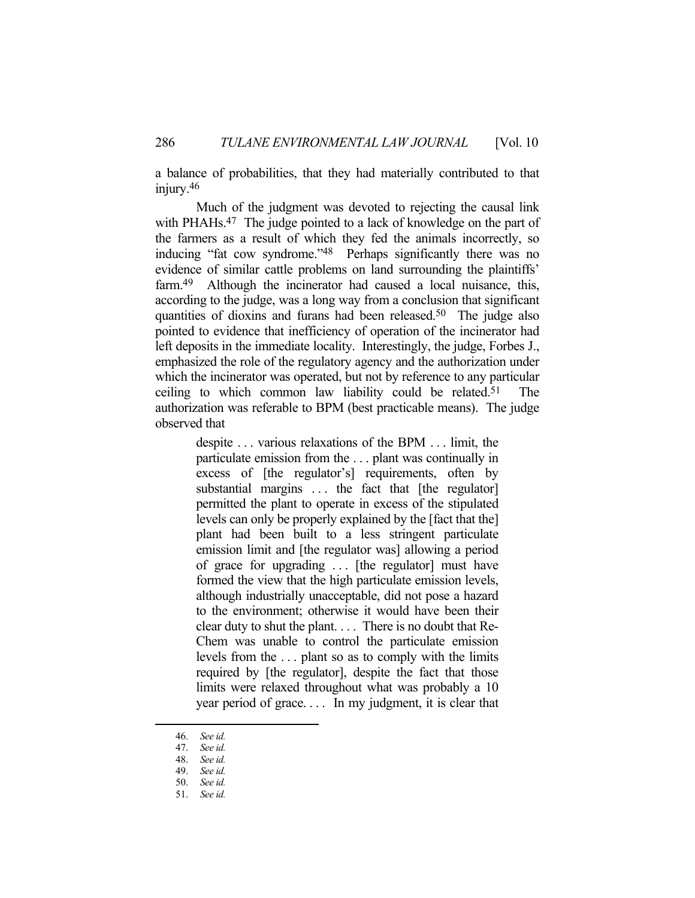a balance of probabilities, that they had materially contributed to that injury.<sup>46</sup>

 Much of the judgment was devoted to rejecting the causal link with PHAHs.<sup>47</sup> The judge pointed to a lack of knowledge on the part of the farmers as a result of which they fed the animals incorrectly, so inducing "fat cow syndrome."48 Perhaps significantly there was no evidence of similar cattle problems on land surrounding the plaintiffs' farm.<sup>49</sup> Although the incinerator had caused a local nuisance, this, according to the judge, was a long way from a conclusion that significant quantities of dioxins and furans had been released.50 The judge also pointed to evidence that inefficiency of operation of the incinerator had left deposits in the immediate locality. Interestingly, the judge, Forbes J., emphasized the role of the regulatory agency and the authorization under which the incinerator was operated, but not by reference to any particular ceiling to which common law liability could be related.51 The authorization was referable to BPM (best practicable means). The judge observed that

> despite . . . various relaxations of the BPM . . . limit, the particulate emission from the . . . plant was continually in excess of [the regulator's] requirements, often by substantial margins ... the fact that [the regulator] permitted the plant to operate in excess of the stipulated levels can only be properly explained by the [fact that the] plant had been built to a less stringent particulate emission limit and [the regulator was] allowing a period of grace for upgrading . . . [the regulator] must have formed the view that the high particulate emission levels, although industrially unacceptable, did not pose a hazard to the environment; otherwise it would have been their clear duty to shut the plant. . . . There is no doubt that Re-Chem was unable to control the particulate emission levels from the . . . plant so as to comply with the limits required by [the regulator], despite the fact that those limits were relaxed throughout what was probably a 10 year period of grace. . . . In my judgment, it is clear that

 <sup>46.</sup> *See id.*

 <sup>47.</sup> *See id.*

 <sup>48.</sup> *See id.*

 <sup>49.</sup> *See id.* 50. *See id.*

 <sup>51.</sup> *See id.*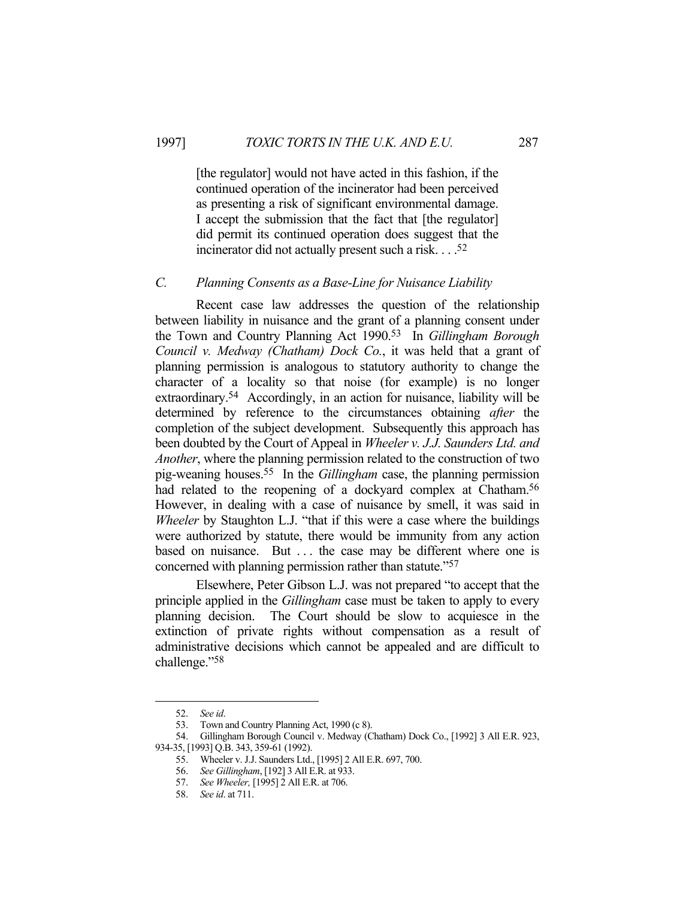[the regulator] would not have acted in this fashion, if the continued operation of the incinerator had been perceived as presenting a risk of significant environmental damage. I accept the submission that the fact that [the regulator] did permit its continued operation does suggest that the incinerator did not actually present such a risk. . . .52

#### *C. Planning Consents as a Base-Line for Nuisance Liability*

 Recent case law addresses the question of the relationship between liability in nuisance and the grant of a planning consent under the Town and Country Planning Act 1990.53 In *Gillingham Borough Council v. Medway (Chatham) Dock Co.*, it was held that a grant of planning permission is analogous to statutory authority to change the character of a locality so that noise (for example) is no longer extraordinary.54 Accordingly, in an action for nuisance, liability will be determined by reference to the circumstances obtaining *after* the completion of the subject development. Subsequently this approach has been doubted by the Court of Appeal in *Wheeler v. J.J. Saunders Ltd. and Another*, where the planning permission related to the construction of two pig-weaning houses.55 In the *Gillingham* case, the planning permission had related to the reopening of a dockyard complex at Chatham.<sup>56</sup> However, in dealing with a case of nuisance by smell, it was said in *Wheeler* by Staughton L.J. "that if this were a case where the buildings were authorized by statute, there would be immunity from any action based on nuisance. But ... the case may be different where one is concerned with planning permission rather than statute."57

 Elsewhere, Peter Gibson L.J. was not prepared "to accept that the principle applied in the *Gillingham* case must be taken to apply to every planning decision. The Court should be slow to acquiesce in the extinction of private rights without compensation as a result of administrative decisions which cannot be appealed and are difficult to challenge."58

 <sup>52.</sup> *See id*.

 <sup>53.</sup> Town and Country Planning Act, 1990 (c 8).

 <sup>54.</sup> Gillingham Borough Council v. Medway (Chatham) Dock Co., [1992] 3 All E.R. 923, 934-35, [1993] Q.B. 343, 359-61 (1992).

 <sup>55.</sup> Wheeler v. J.J. Saunders Ltd., [1995] 2 All E.R. 697, 700.

 <sup>56.</sup> *See Gillingham*, [192] 3 All E.R. at 933.

 <sup>57.</sup> *See Wheeler,* [1995] 2 All E.R. at 706.

 <sup>58.</sup> *See id*. at 711.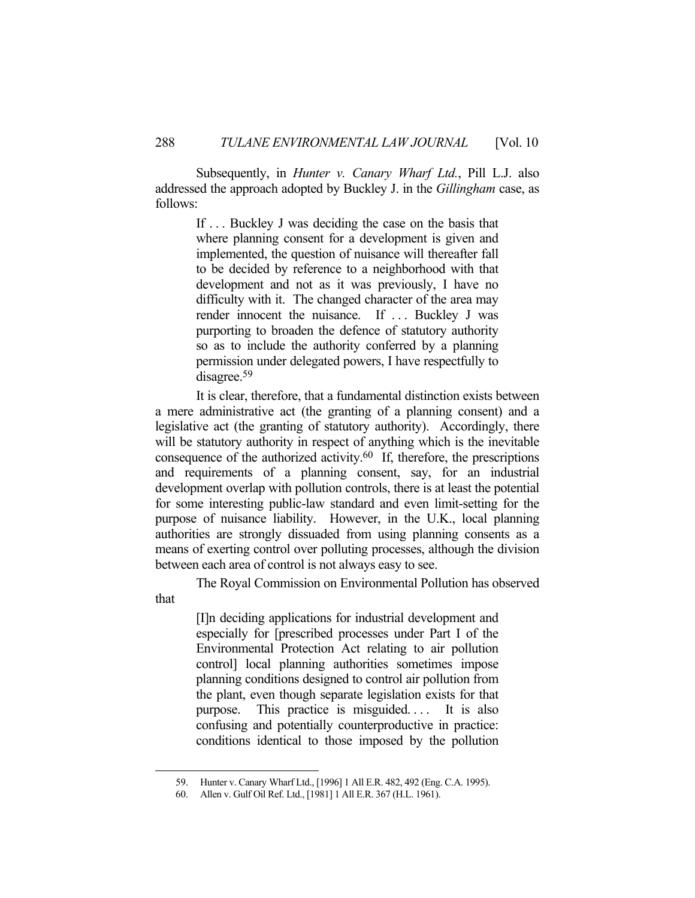Subsequently, in *Hunter v. Canary Wharf Ltd.*, Pill L.J. also addressed the approach adopted by Buckley J. in the *Gillingham* case, as follows:

> If . . . Buckley J was deciding the case on the basis that where planning consent for a development is given and implemented, the question of nuisance will thereafter fall to be decided by reference to a neighborhood with that development and not as it was previously, I have no difficulty with it. The changed character of the area may render innocent the nuisance. If ... Buckley J was purporting to broaden the defence of statutory authority so as to include the authority conferred by a planning permission under delegated powers, I have respectfully to disagree.59

 It is clear, therefore, that a fundamental distinction exists between a mere administrative act (the granting of a planning consent) and a legislative act (the granting of statutory authority). Accordingly, there will be statutory authority in respect of anything which is the inevitable consequence of the authorized activity.60 If, therefore, the prescriptions and requirements of a planning consent, say, for an industrial development overlap with pollution controls, there is at least the potential for some interesting public-law standard and even limit-setting for the purpose of nuisance liability. However, in the U.K., local planning authorities are strongly dissuaded from using planning consents as a means of exerting control over polluting processes, although the division between each area of control is not always easy to see.

 The Royal Commission on Environmental Pollution has observed that

> [I]n deciding applications for industrial development and especially for [prescribed processes under Part I of the Environmental Protection Act relating to air pollution control] local planning authorities sometimes impose planning conditions designed to control air pollution from the plant, even though separate legislation exists for that purpose. This practice is misguided.... It is also confusing and potentially counterproductive in practice: conditions identical to those imposed by the pollution

 <sup>59.</sup> Hunter v. Canary Wharf Ltd., [1996] 1 All E.R. 482, 492 (Eng. C.A. 1995).

 <sup>60.</sup> Allen v. Gulf Oil Ref. Ltd., [1981] 1 All E.R. 367 (H.L. 1961).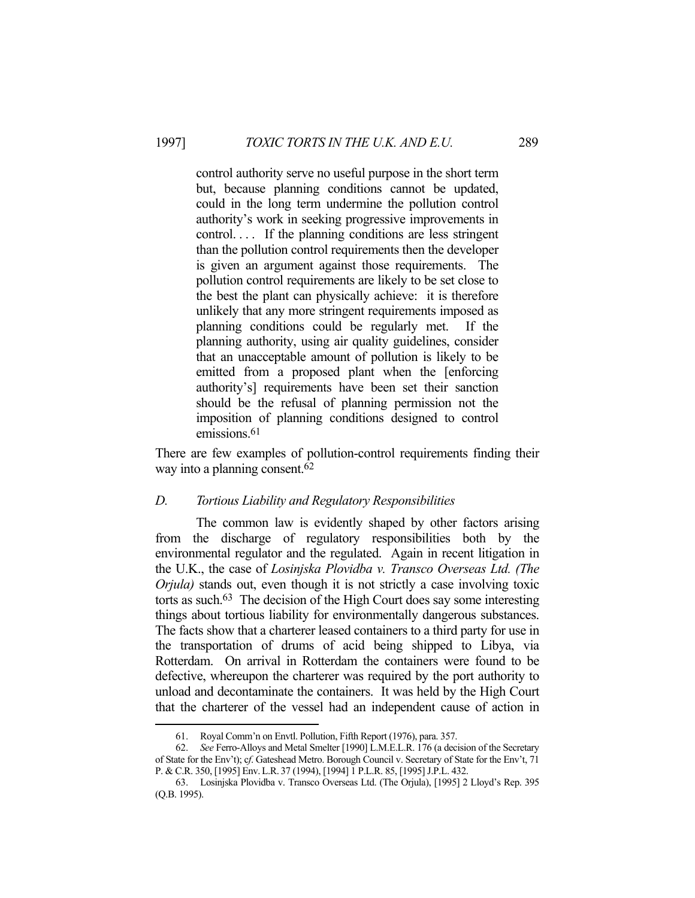control authority serve no useful purpose in the short term but, because planning conditions cannot be updated, could in the long term undermine the pollution control authority's work in seeking progressive improvements in control. . . . If the planning conditions are less stringent than the pollution control requirements then the developer is given an argument against those requirements. The pollution control requirements are likely to be set close to the best the plant can physically achieve: it is therefore unlikely that any more stringent requirements imposed as planning conditions could be regularly met. If the planning authority, using air quality guidelines, consider that an unacceptable amount of pollution is likely to be emitted from a proposed plant when the [enforcing authority's] requirements have been set their sanction should be the refusal of planning permission not the imposition of planning conditions designed to control emissions.<sup>61</sup>

There are few examples of pollution-control requirements finding their way into a planning consent.62

### *D. Tortious Liability and Regulatory Responsibilities*

 The common law is evidently shaped by other factors arising from the discharge of regulatory responsibilities both by the environmental regulator and the regulated. Again in recent litigation in the U.K., the case of *Losinjska Plovidba v. Transco Overseas Ltd. (The Orjula)* stands out, even though it is not strictly a case involving toxic torts as such.63 The decision of the High Court does say some interesting things about tortious liability for environmentally dangerous substances. The facts show that a charterer leased containers to a third party for use in the transportation of drums of acid being shipped to Libya, via Rotterdam. On arrival in Rotterdam the containers were found to be defective, whereupon the charterer was required by the port authority to unload and decontaminate the containers. It was held by the High Court that the charterer of the vessel had an independent cause of action in

 <sup>61.</sup> Royal Comm'n on Envtl. Pollution, Fifth Report (1976), para. 357.

 <sup>62.</sup> *See* Ferro-Alloys and Metal Smelter [1990] L.M.E.L.R. 176 (a decision of the Secretary of State for the Env't); c*f*. Gateshead Metro. Borough Council v. Secretary of State for the Env't, 71 P. & C.R. 350, [1995] Env.L.R. 37 (1994), [1994] 1 P.L.R. 85, [1995] J.P.L. 432.

 <sup>63.</sup> Losinjska Plovidba v. Transco Overseas Ltd. (The Orjula), [1995] 2 Lloyd's Rep. 395 (Q.B. 1995).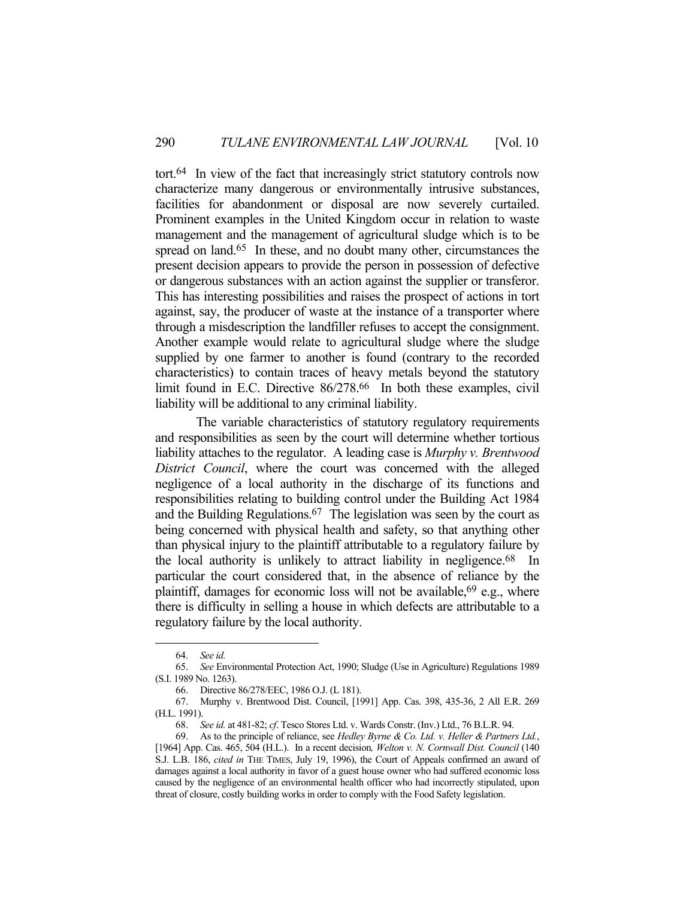tort.64 In view of the fact that increasingly strict statutory controls now characterize many dangerous or environmentally intrusive substances, facilities for abandonment or disposal are now severely curtailed. Prominent examples in the United Kingdom occur in relation to waste management and the management of agricultural sludge which is to be spread on land.<sup>65</sup> In these, and no doubt many other, circumstances the present decision appears to provide the person in possession of defective or dangerous substances with an action against the supplier or transferor. This has interesting possibilities and raises the prospect of actions in tort against, say, the producer of waste at the instance of a transporter where through a misdescription the landfiller refuses to accept the consignment. Another example would relate to agricultural sludge where the sludge supplied by one farmer to another is found (contrary to the recorded characteristics) to contain traces of heavy metals beyond the statutory limit found in E.C. Directive 86/278.<sup>66</sup> In both these examples, civil liability will be additional to any criminal liability.

 The variable characteristics of statutory regulatory requirements and responsibilities as seen by the court will determine whether tortious liability attaches to the regulator. A leading case is *Murphy v. Brentwood District Council*, where the court was concerned with the alleged negligence of a local authority in the discharge of its functions and responsibilities relating to building control under the Building Act 1984 and the Building Regulations.67 The legislation was seen by the court as being concerned with physical health and safety, so that anything other than physical injury to the plaintiff attributable to a regulatory failure by the local authority is unlikely to attract liability in negligence.68 In particular the court considered that, in the absence of reliance by the plaintiff, damages for economic loss will not be available,  $69$  e.g., where there is difficulty in selling a house in which defects are attributable to a regulatory failure by the local authority.

 <sup>64.</sup> *See id.*

 <sup>65.</sup> *See* Environmental Protection Act, 1990; Sludge (Use in Agriculture) Regulations 1989 (S.I. 1989 No. 1263).

 <sup>66.</sup> Directive 86/278/EEC, 1986 O.J. (L 181).

 <sup>67.</sup> Murphy v. Brentwood Dist. Council, [1991] App. Cas. 398, 435-36, 2 All E.R. 269 (H.L. 1991).

 <sup>68.</sup> *See id.* at 481-82; *cf*. Tesco Stores Ltd. v. Wards Constr. (Inv.) Ltd., 76 B.L.R. 94.

 <sup>69.</sup> As to the principle of reliance, see *Hedley Byrne & Co. Ltd. v. Heller & Partners Ltd.*, [1964] App. Cas. 465, 504 (H.L.). In a recent decision*, Welton v. N. Cornwall Dist. Council* (140 S.J. L.B. 186, *cited in* THE TIMES, July 19, 1996), the Court of Appeals confirmed an award of damages against a local authority in favor of a guest house owner who had suffered economic loss caused by the negligence of an environmental health officer who had incorrectly stipulated, upon threat of closure, costly building works in order to comply with the Food Safety legislation.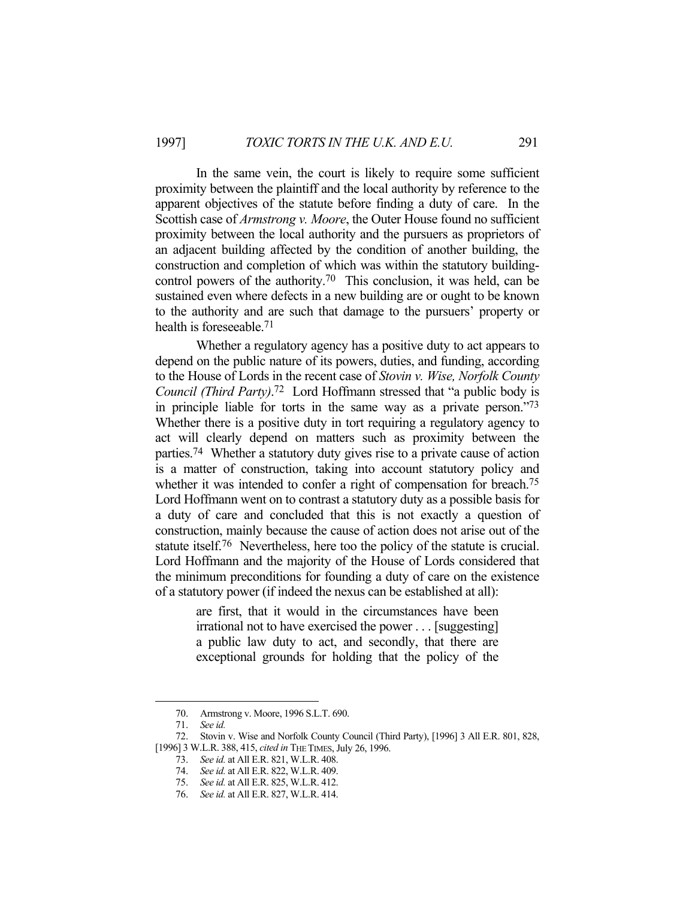In the same vein, the court is likely to require some sufficient proximity between the plaintiff and the local authority by reference to the apparent objectives of the statute before finding a duty of care. In the Scottish case of *Armstrong v. Moore*, the Outer House found no sufficient proximity between the local authority and the pursuers as proprietors of an adjacent building affected by the condition of another building, the construction and completion of which was within the statutory buildingcontrol powers of the authority.70 This conclusion, it was held, can be sustained even where defects in a new building are or ought to be known to the authority and are such that damage to the pursuers' property or health is foreseeable.71

 Whether a regulatory agency has a positive duty to act appears to depend on the public nature of its powers, duties, and funding, according to the House of Lords in the recent case of *Stovin v. Wise, Norfolk County Council (Third Party)*. 72 Lord Hoffmann stressed that "a public body is in principle liable for torts in the same way as a private person."73 Whether there is a positive duty in tort requiring a regulatory agency to act will clearly depend on matters such as proximity between the parties.74 Whether a statutory duty gives rise to a private cause of action is a matter of construction, taking into account statutory policy and whether it was intended to confer a right of compensation for breach.<sup>75</sup> Lord Hoffmann went on to contrast a statutory duty as a possible basis for a duty of care and concluded that this is not exactly a question of construction, mainly because the cause of action does not arise out of the statute itself.76 Nevertheless, here too the policy of the statute is crucial. Lord Hoffmann and the majority of the House of Lords considered that the minimum preconditions for founding a duty of care on the existence of a statutory power (if indeed the nexus can be established at all):

> are first, that it would in the circumstances have been irrational not to have exercised the power . . . [suggesting] a public law duty to act, and secondly, that there are exceptional grounds for holding that the policy of the

 <sup>70.</sup> Armstrong v. Moore, 1996 S.L.T. 690.

 <sup>71.</sup> *See id.*

 <sup>72.</sup> Stovin v. Wise and Norfolk County Council (Third Party), [1996] 3 All E.R. 801, 828, [1996] 3 W.L.R. 388, 415, *cited in* THE TIMES, July 26, 1996.

 <sup>73.</sup> *See id.* at All E.R. 821, W.L.R. 408.

 <sup>74.</sup> *See id.* at All E.R. 822, W.L.R. 409.

 <sup>75.</sup> *See id.* at All E.R. 825, W.L.R. 412.

 <sup>76.</sup> *See id.* at All E.R. 827, W.L.R. 414.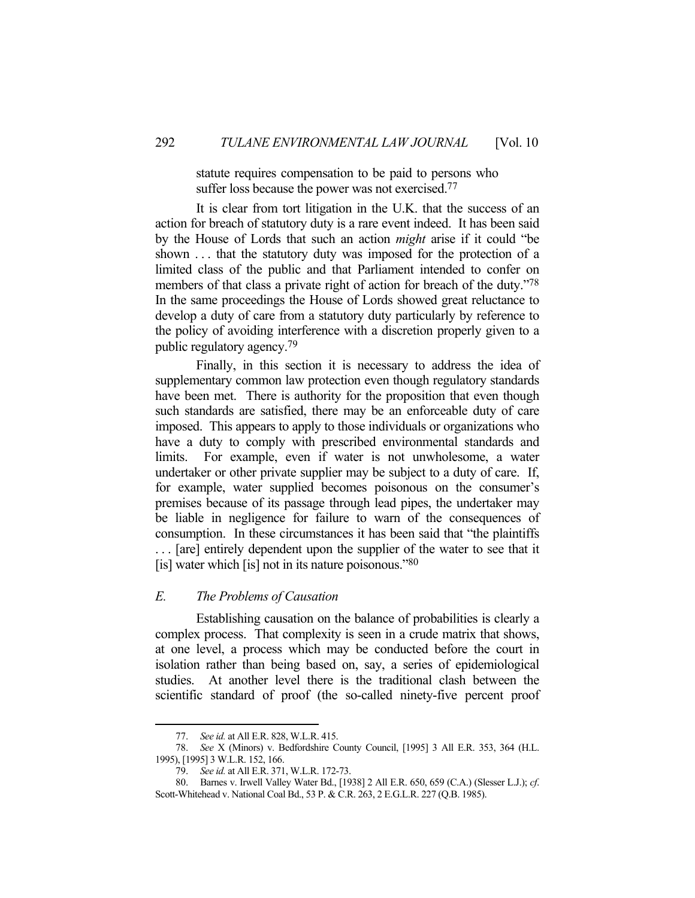statute requires compensation to be paid to persons who suffer loss because the power was not exercised.<sup>77</sup>

 It is clear from tort litigation in the U.K. that the success of an action for breach of statutory duty is a rare event indeed. It has been said by the House of Lords that such an action *might* arise if it could "be shown . . . that the statutory duty was imposed for the protection of a limited class of the public and that Parliament intended to confer on members of that class a private right of action for breach of the duty."78 In the same proceedings the House of Lords showed great reluctance to develop a duty of care from a statutory duty particularly by reference to the policy of avoiding interference with a discretion properly given to a public regulatory agency.79

 Finally, in this section it is necessary to address the idea of supplementary common law protection even though regulatory standards have been met. There is authority for the proposition that even though such standards are satisfied, there may be an enforceable duty of care imposed. This appears to apply to those individuals or organizations who have a duty to comply with prescribed environmental standards and limits. For example, even if water is not unwholesome, a water undertaker or other private supplier may be subject to a duty of care. If, for example, water supplied becomes poisonous on the consumer's premises because of its passage through lead pipes, the undertaker may be liable in negligence for failure to warn of the consequences of consumption. In these circumstances it has been said that "the plaintiffs . . . [are] entirely dependent upon the supplier of the water to see that it [is] water which [is] not in its nature poisonous." $80$ 

### *E. The Problems of Causation*

 Establishing causation on the balance of probabilities is clearly a complex process. That complexity is seen in a crude matrix that shows, at one level, a process which may be conducted before the court in isolation rather than being based on, say, a series of epidemiological studies. At another level there is the traditional clash between the scientific standard of proof (the so-called ninety-five percent proof

 <sup>77.</sup> *See id.* at All E.R. 828, W.L.R. 415.

 <sup>78.</sup> *See* X (Minors) v. Bedfordshire County Council, [1995] 3 All E.R. 353, 364 (H.L. 1995), [1995] 3 W.L.R. 152, 166.

 <sup>79.</sup> *See id.* at All E.R. 371, W.L.R. 172-73.

 <sup>80.</sup> Barnes v. Irwell Valley Water Bd., [1938] 2 All E.R. 650, 659 (C.A.) (Slesser L.J.); *cf*. Scott-Whitehead v. National Coal Bd., 53 P. & C.R. 263, 2 E.G.L.R. 227 (Q.B. 1985).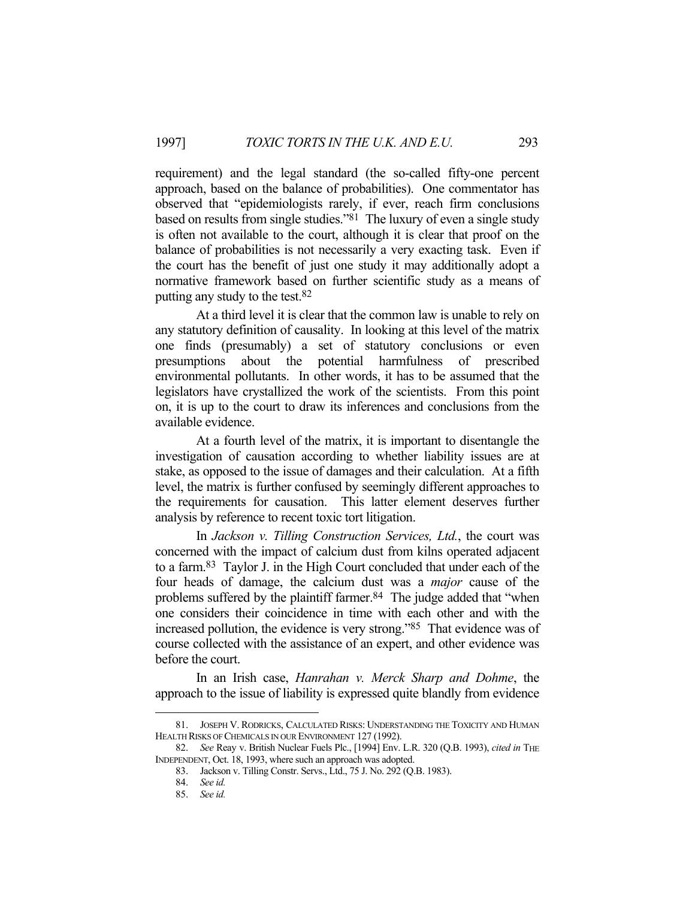requirement) and the legal standard (the so-called fifty-one percent approach, based on the balance of probabilities). One commentator has observed that "epidemiologists rarely, if ever, reach firm conclusions based on results from single studies."81 The luxury of even a single study is often not available to the court, although it is clear that proof on the balance of probabilities is not necessarily a very exacting task. Even if the court has the benefit of just one study it may additionally adopt a normative framework based on further scientific study as a means of putting any study to the test.82

 At a third level it is clear that the common law is unable to rely on any statutory definition of causality. In looking at this level of the matrix one finds (presumably) a set of statutory conclusions or even presumptions about the potential harmfulness of prescribed environmental pollutants. In other words, it has to be assumed that the legislators have crystallized the work of the scientists. From this point on, it is up to the court to draw its inferences and conclusions from the available evidence.

 At a fourth level of the matrix, it is important to disentangle the investigation of causation according to whether liability issues are at stake, as opposed to the issue of damages and their calculation. At a fifth level, the matrix is further confused by seemingly different approaches to the requirements for causation. This latter element deserves further analysis by reference to recent toxic tort litigation.

 In *Jackson v. Tilling Construction Services, Ltd.*, the court was concerned with the impact of calcium dust from kilns operated adjacent to a farm.83 Taylor J. in the High Court concluded that under each of the four heads of damage, the calcium dust was a *major* cause of the problems suffered by the plaintiff farmer.<sup>84</sup> The judge added that "when one considers their coincidence in time with each other and with the increased pollution, the evidence is very strong."85 That evidence was of course collected with the assistance of an expert, and other evidence was before the court.

 In an Irish case, *Hanrahan v. Merck Sharp and Dohme*, the approach to the issue of liability is expressed quite blandly from evidence

 <sup>81.</sup> JOSEPH V. RODRICKS, CALCULATED RISKS: UNDERSTANDING THE TOXICITY AND HUMAN HEALTH RISKS OF CHEMICALS IN OUR ENVIRONMENT 127 (1992).

 <sup>82.</sup> *See* Reay v. British Nuclear Fuels Plc., [1994] Env. L.R. 320 (Q.B. 1993), *cited in* THE INDEPENDENT, Oct. 18, 1993, where such an approach was adopted.

 <sup>83.</sup> Jackson v. Tilling Constr. Servs., Ltd., 75 J. No. 292 (Q.B. 1983).

 <sup>84.</sup> *See id.*

 <sup>85.</sup> *See id.*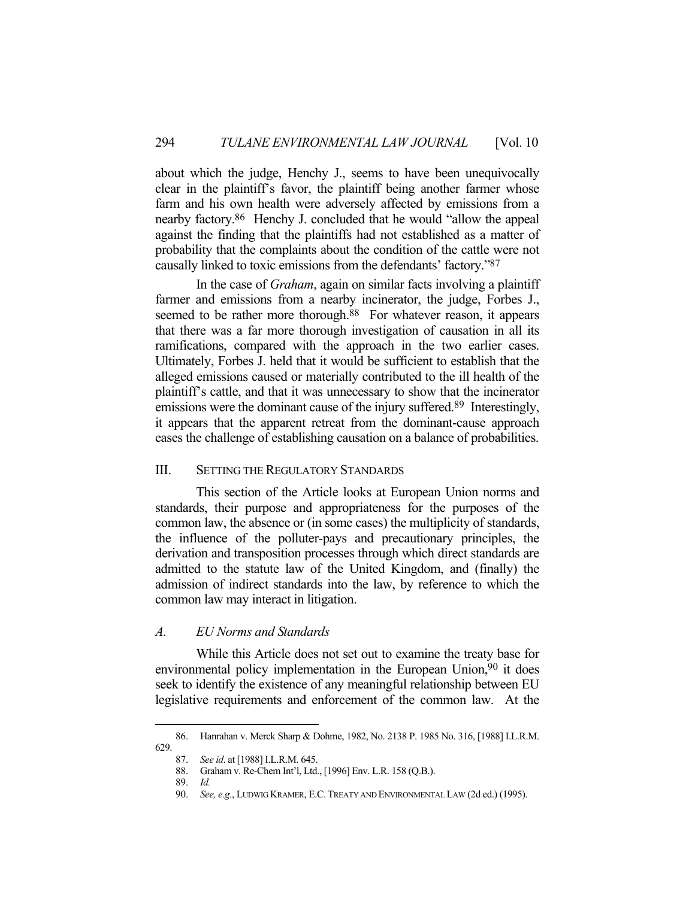about which the judge, Henchy J., seems to have been unequivocally clear in the plaintiff's favor, the plaintiff being another farmer whose farm and his own health were adversely affected by emissions from a nearby factory.86 Henchy J. concluded that he would "allow the appeal against the finding that the plaintiffs had not established as a matter of probability that the complaints about the condition of the cattle were not causally linked to toxic emissions from the defendants' factory."87

 In the case of *Graham*, again on similar facts involving a plaintiff farmer and emissions from a nearby incinerator, the judge, Forbes J., seemed to be rather more thorough.<sup>88</sup> For whatever reason, it appears that there was a far more thorough investigation of causation in all its ramifications, compared with the approach in the two earlier cases. Ultimately, Forbes J. held that it would be sufficient to establish that the alleged emissions caused or materially contributed to the ill health of the plaintiff's cattle, and that it was unnecessary to show that the incinerator emissions were the dominant cause of the injury suffered.<sup>89</sup> Interestingly, it appears that the apparent retreat from the dominant-cause approach eases the challenge of establishing causation on a balance of probabilities.

### III. SETTING THE REGULATORY STANDARDS

 This section of the Article looks at European Union norms and standards, their purpose and appropriateness for the purposes of the common law, the absence or (in some cases) the multiplicity of standards, the influence of the polluter-pays and precautionary principles, the derivation and transposition processes through which direct standards are admitted to the statute law of the United Kingdom, and (finally) the admission of indirect standards into the law, by reference to which the common law may interact in litigation.

# *A. EU Norms and Standards*

 While this Article does not set out to examine the treaty base for environmental policy implementation in the European Union,<sup>90</sup> it does seek to identify the existence of any meaningful relationship between EU legislative requirements and enforcement of the common law. At the

 <sup>86.</sup> Hanrahan v. Merck Sharp & Dohme, 1982, No. 2138 P. 1985 No. 316, [1988] I.L.R.M. 629.

 <sup>87.</sup> *See id*. at [1988] I.L.R.M. 645.

 <sup>88.</sup> Graham v. Re-Chem Int'l, Ltd., [1996] Env. L.R. 158 (Q.B.).

 <sup>89.</sup> *Id.*

 <sup>90.</sup> *See, e.g.*, LUDWIG KRAMER, E.C.TREATY AND ENVIRONMENTAL LAW (2d ed.) (1995).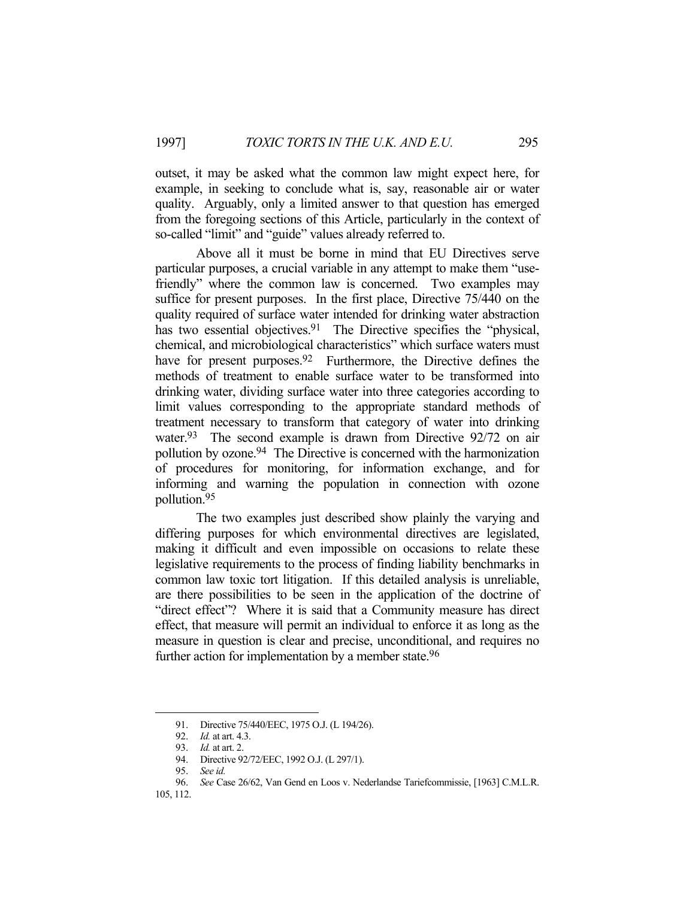outset, it may be asked what the common law might expect here, for example, in seeking to conclude what is, say, reasonable air or water quality. Arguably, only a limited answer to that question has emerged from the foregoing sections of this Article, particularly in the context of so-called "limit" and "guide" values already referred to.

Above all it must be borne in mind that EU Directives serve particular purposes, a crucial variable in any attempt to make them "usefriendly" where the common law is concerned. Two examples may suffice for present purposes. In the first place, Directive 75/440 on the quality required of surface water intended for drinking water abstraction has two essential objectives.<sup>91</sup> The Directive specifies the "physical, chemical, and microbiological characteristics" which surface waters must have for present purposes.<sup>92</sup> Furthermore, the Directive defines the methods of treatment to enable surface water to be transformed into drinking water, dividing surface water into three categories according to limit values corresponding to the appropriate standard methods of treatment necessary to transform that category of water into drinking water.<sup>93</sup> The second example is drawn from Directive 92/72 on air pollution by ozone.94 The Directive is concerned with the harmonization of procedures for monitoring, for information exchange, and for informing and warning the population in connection with ozone pollution.95

 The two examples just described show plainly the varying and differing purposes for which environmental directives are legislated, making it difficult and even impossible on occasions to relate these legislative requirements to the process of finding liability benchmarks in common law toxic tort litigation. If this detailed analysis is unreliable, are there possibilities to be seen in the application of the doctrine of "direct effect"? Where it is said that a Community measure has direct effect, that measure will permit an individual to enforce it as long as the measure in question is clear and precise, unconditional, and requires no further action for implementation by a member state.<sup>96</sup>

 <sup>91.</sup> Directive 75/440/EEC, 1975 O.J. (L 194/26).

 <sup>92.</sup> *Id.* at art. 4.3.

 <sup>93.</sup> *Id.* at art. 2.

 <sup>94.</sup> Directive 92/72/EEC, 1992 O.J. (L 297/1).

 <sup>95.</sup> *See id.*

 <sup>96.</sup> *See* Case 26/62, Van Gend en Loos v. Nederlandse Tariefcommissie, [1963] C.M.L.R.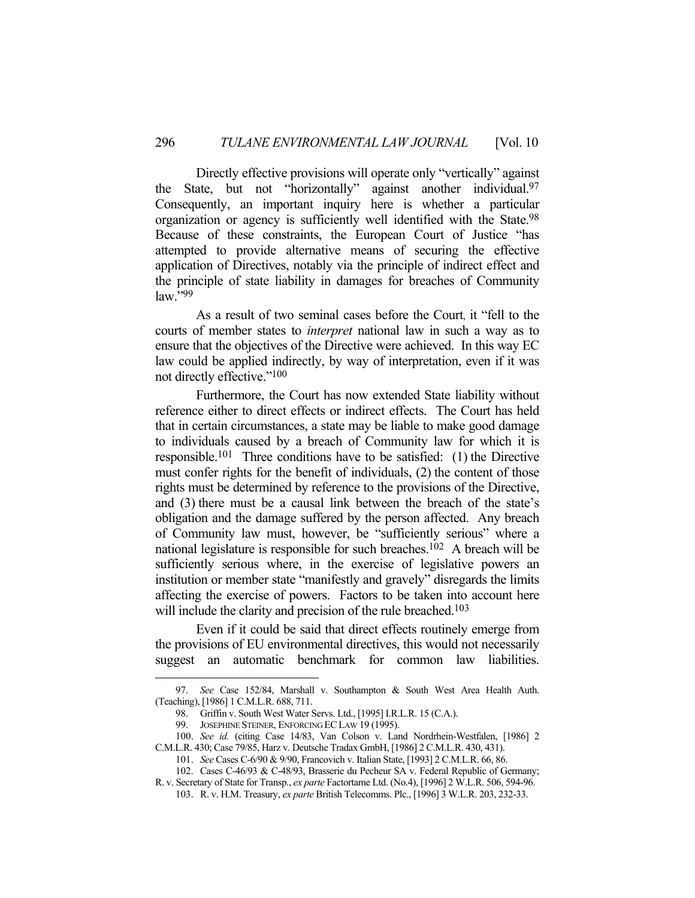Directly effective provisions will operate only "vertically" against the State, but not "horizontally" against another individual.97 Consequently, an important inquiry here is whether a particular organization or agency is sufficiently well identified with the State.98 Because of these constraints, the European Court of Justice "has attempted to provide alternative means of securing the effective application of Directives, notably via the principle of indirect effect and the principle of state liability in damages for breaches of Community law."99

 As a result of two seminal cases before the Court, it "fell to the courts of member states to *interpret* national law in such a way as to ensure that the objectives of the Directive were achieved. In this way EC law could be applied indirectly, by way of interpretation, even if it was not directly effective."100

 Furthermore, the Court has now extended State liability without reference either to direct effects or indirect effects. The Court has held that in certain circumstances, a state may be liable to make good damage to individuals caused by a breach of Community law for which it is responsible.101 Three conditions have to be satisfied: (1) the Directive must confer rights for the benefit of individuals, (2) the content of those rights must be determined by reference to the provisions of the Directive, and (3) there must be a causal link between the breach of the state's obligation and the damage suffered by the person affected. Any breach of Community law must, however, be "sufficiently serious" where a national legislature is responsible for such breaches.102 A breach will be sufficiently serious where, in the exercise of legislative powers an institution or member state "manifestly and gravely" disregards the limits affecting the exercise of powers. Factors to be taken into account here will include the clarity and precision of the rule breached.<sup>103</sup>

 Even if it could be said that direct effects routinely emerge from the provisions of EU environmental directives, this would not necessarily suggest an automatic benchmark for common law liabilities.

 <sup>97.</sup> *See* Case 152/84, Marshall v. Southampton & South West Area Health Auth. (Teaching), [1986] 1 C.M.L.R. 688, 711.

 <sup>98.</sup> Griffin v. South West Water Servs. Ltd., [1995] I.R.L.R. 15 (C.A.).

 <sup>99.</sup> JOSEPHINE STEINER, ENFORCING ECLAW 19 (1995).

 <sup>100.</sup> *See id.* (citing Case 14/83, Van Colson v. Land Nordrhein-Westfalen, [1986] 2 C.M.L.R. 430; Case 79/85, Harz v. Deutsche Tradax GmbH, [1986] 2 C.M.L.R. 430, 431).

 <sup>101.</sup> *See* Cases C-6/90 & 9/90, Francovich v. Italian State, [1993] 2 C.M.L.R. 66, 86. 102. Cases C-46/93 & C-48/93, Brasserie du Pecheur SA v. Federal Republic of Germany;

R. v. Secretary of State for Transp., *ex parte* Factortame Ltd. (No.4), [1996] 2 W.L.R. 506, 594-96. 103. R. v. H.M. Treasury, *ex parte* British Telecomms. Plc., [1996] 3 W.L.R. 203, 232-33.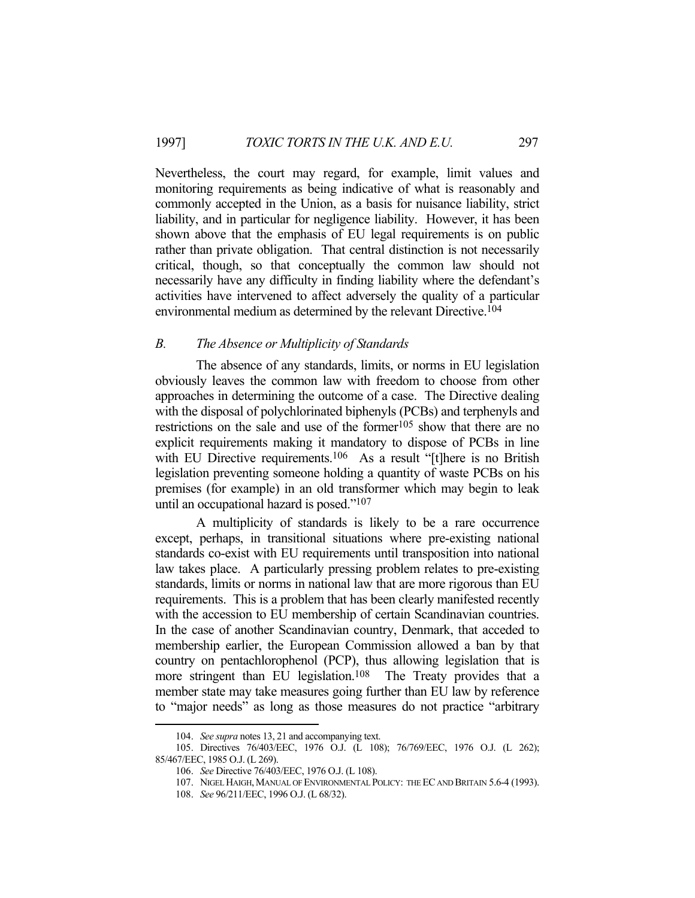Nevertheless, the court may regard, for example, limit values and monitoring requirements as being indicative of what is reasonably and commonly accepted in the Union, as a basis for nuisance liability, strict liability, and in particular for negligence liability. However, it has been shown above that the emphasis of EU legal requirements is on public rather than private obligation. That central distinction is not necessarily critical, though, so that conceptually the common law should not necessarily have any difficulty in finding liability where the defendant's activities have intervened to affect adversely the quality of a particular environmental medium as determined by the relevant Directive.104

## *B. The Absence or Multiplicity of Standards*

 The absence of any standards, limits, or norms in EU legislation obviously leaves the common law with freedom to choose from other approaches in determining the outcome of a case. The Directive dealing with the disposal of polychlorinated biphenyls (PCBs) and terphenyls and restrictions on the sale and use of the former<sup>105</sup> show that there are no explicit requirements making it mandatory to dispose of PCBs in line with EU Directive requirements.<sup>106</sup> As a result "[t]here is no British legislation preventing someone holding a quantity of waste PCBs on his premises (for example) in an old transformer which may begin to leak until an occupational hazard is posed."107

 A multiplicity of standards is likely to be a rare occurrence except, perhaps, in transitional situations where pre-existing national standards co-exist with EU requirements until transposition into national law takes place. A particularly pressing problem relates to pre-existing standards, limits or norms in national law that are more rigorous than EU requirements. This is a problem that has been clearly manifested recently with the accession to EU membership of certain Scandinavian countries. In the case of another Scandinavian country, Denmark, that acceded to membership earlier, the European Commission allowed a ban by that country on pentachlorophenol (PCP), thus allowing legislation that is more stringent than EU legislation.<sup>108</sup> The Treaty provides that a member state may take measures going further than EU law by reference to "major needs" as long as those measures do not practice "arbitrary

 <sup>104.</sup> *See supra* notes 13, 21 and accompanying text.

 <sup>105.</sup> Directives 76/403/EEC, 1976 O.J. (L 108); 76/769/EEC, 1976 O.J. (L 262); 85/467/EEC, 1985 O.J. (L 269).

 <sup>106.</sup> *See* Directive 76/403/EEC, 1976 O.J. (L 108).

<sup>107.</sup> NIGEL HAIGH, MANUAL OF ENVIRONMENTAL POLICY: THE EC AND BRITAIN 5.6-4 (1993).

 <sup>108.</sup> *See* 96/211/EEC, 1996 O.J. (L 68/32).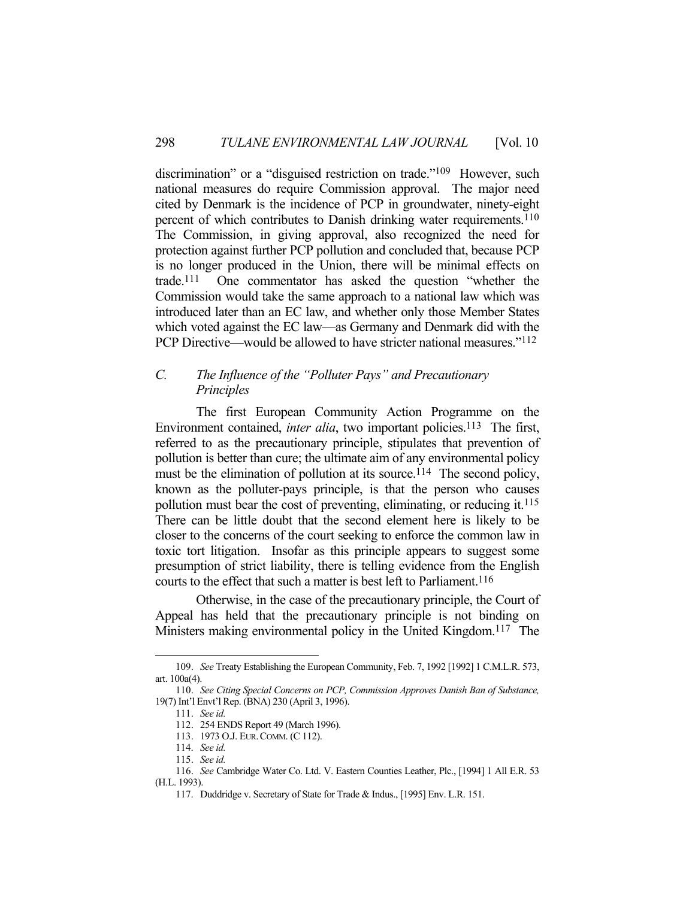discrimination" or a "disguised restriction on trade."<sup>109</sup> However, such national measures do require Commission approval. The major need cited by Denmark is the incidence of PCP in groundwater, ninety-eight percent of which contributes to Danish drinking water requirements.<sup>110</sup> The Commission, in giving approval, also recognized the need for protection against further PCP pollution and concluded that, because PCP is no longer produced in the Union, there will be minimal effects on trade.111 One commentator has asked the question "whether the Commission would take the same approach to a national law which was introduced later than an EC law, and whether only those Member States which voted against the EC law—as Germany and Denmark did with the PCP Directive—would be allowed to have stricter national measures."112

# *C. The Influence of the "Polluter Pays" and Precautionary Principles*

 The first European Community Action Programme on the Environment contained, *inter alia*, two important policies.<sup>113</sup> The first, referred to as the precautionary principle, stipulates that prevention of pollution is better than cure; the ultimate aim of any environmental policy must be the elimination of pollution at its source.<sup>114</sup> The second policy, known as the polluter-pays principle, is that the person who causes pollution must bear the cost of preventing, eliminating, or reducing it.115 There can be little doubt that the second element here is likely to be closer to the concerns of the court seeking to enforce the common law in toxic tort litigation. Insofar as this principle appears to suggest some presumption of strict liability, there is telling evidence from the English courts to the effect that such a matter is best left to Parliament.<sup>116</sup>

 Otherwise, in the case of the precautionary principle, the Court of Appeal has held that the precautionary principle is not binding on Ministers making environmental policy in the United Kingdom.<sup>117</sup> The

 <sup>109.</sup> *See* Treaty Establishing the European Community, Feb. 7, 1992 [1992] 1 C.M.L.R. 573, art. 100a(4).

 <sup>110.</sup> *See Citing Special Concerns on PCP, Commission Approves Danish Ban of Substance,*  19(7) Int'l Envt'l Rep. (BNA) 230 (April 3, 1996).

 <sup>111.</sup> *See id.*

 <sup>112. 254</sup> ENDS Report 49 (March 1996).

 <sup>113. 1973</sup> O.J. EUR.COMM. (C 112).

 <sup>114.</sup> *See id.*

 <sup>115.</sup> *See id.*

 <sup>116.</sup> *See* Cambridge Water Co. Ltd. V. Eastern Counties Leather, Plc., [1994] 1 All E.R. 53 (H.L. 1993).

 <sup>117.</sup> Duddridge v. Secretary of State for Trade & Indus., [1995] Env. L.R. 151.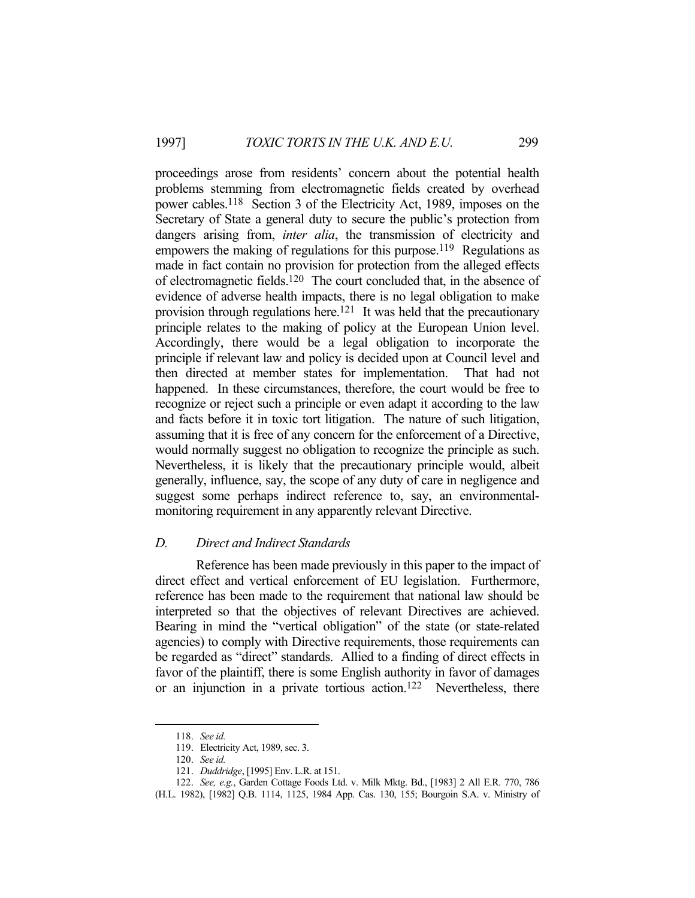proceedings arose from residents' concern about the potential health problems stemming from electromagnetic fields created by overhead power cables.118 Section 3 of the Electricity Act, 1989, imposes on the Secretary of State a general duty to secure the public's protection from dangers arising from, *inter alia*, the transmission of electricity and empowers the making of regulations for this purpose.<sup>119</sup> Regulations as made in fact contain no provision for protection from the alleged effects of electromagnetic fields.120 The court concluded that, in the absence of evidence of adverse health impacts, there is no legal obligation to make provision through regulations here.<sup>121</sup> It was held that the precautionary principle relates to the making of policy at the European Union level. Accordingly, there would be a legal obligation to incorporate the principle if relevant law and policy is decided upon at Council level and then directed at member states for implementation. That had not happened. In these circumstances, therefore, the court would be free to recognize or reject such a principle or even adapt it according to the law and facts before it in toxic tort litigation. The nature of such litigation, assuming that it is free of any concern for the enforcement of a Directive, would normally suggest no obligation to recognize the principle as such. Nevertheless, it is likely that the precautionary principle would, albeit generally, influence, say, the scope of any duty of care in negligence and suggest some perhaps indirect reference to, say, an environmentalmonitoring requirement in any apparently relevant Directive.

### *D. Direct and Indirect Standards*

 Reference has been made previously in this paper to the impact of direct effect and vertical enforcement of EU legislation. Furthermore, reference has been made to the requirement that national law should be interpreted so that the objectives of relevant Directives are achieved. Bearing in mind the "vertical obligation" of the state (or state-related agencies) to comply with Directive requirements, those requirements can be regarded as "direct" standards. Allied to a finding of direct effects in favor of the plaintiff, there is some English authority in favor of damages or an injunction in a private tortious action.122 Nevertheless, there

 <sup>118.</sup> *See id.*

 <sup>119.</sup> Electricity Act, 1989, sec. 3.

 <sup>120.</sup> *See id.*

 <sup>121.</sup> *Duddridge*, [1995] Env. L.R. at 151.

 <sup>122.</sup> *See, e.g.*, Garden Cottage Foods Ltd. v. Milk Mktg. Bd., [1983] 2 All E.R. 770, 786

<sup>(</sup>H.L. 1982), [1982] Q.B. 1114, 1125, 1984 App. Cas. 130, 155; Bourgoin S.A. v. Ministry of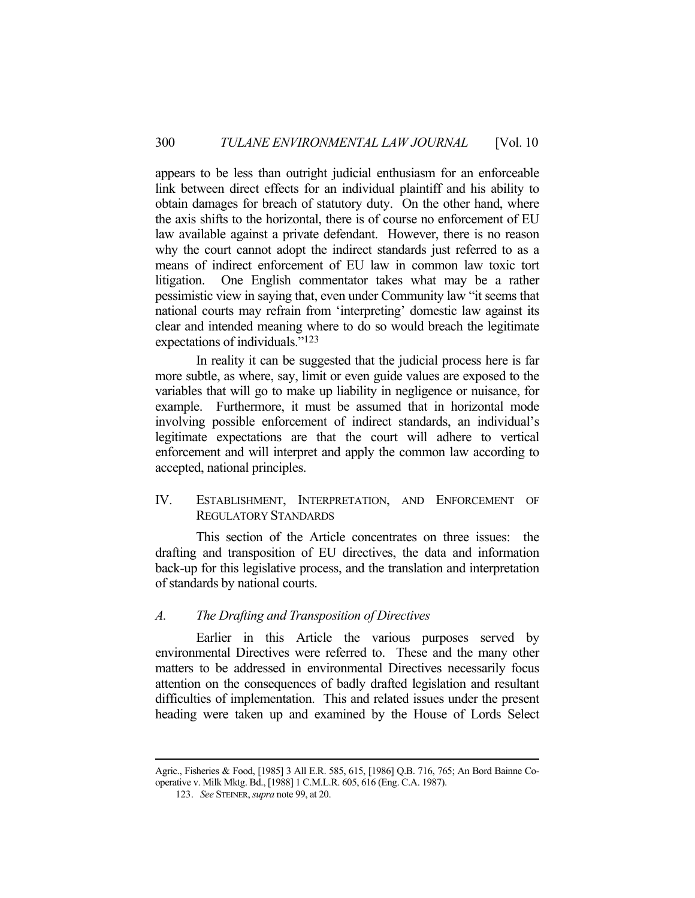appears to be less than outright judicial enthusiasm for an enforceable link between direct effects for an individual plaintiff and his ability to obtain damages for breach of statutory duty. On the other hand, where the axis shifts to the horizontal, there is of course no enforcement of EU law available against a private defendant. However, there is no reason why the court cannot adopt the indirect standards just referred to as a means of indirect enforcement of EU law in common law toxic tort litigation. One English commentator takes what may be a rather pessimistic view in saying that, even under Community law "it seems that national courts may refrain from 'interpreting' domestic law against its clear and intended meaning where to do so would breach the legitimate expectations of individuals."123

 In reality it can be suggested that the judicial process here is far more subtle, as where, say, limit or even guide values are exposed to the variables that will go to make up liability in negligence or nuisance, for example. Furthermore, it must be assumed that in horizontal mode involving possible enforcement of indirect standards, an individual's legitimate expectations are that the court will adhere to vertical enforcement and will interpret and apply the common law according to accepted, national principles.

IV. ESTABLISHMENT, INTERPRETATION, AND ENFORCEMENT OF REGULATORY STANDARDS

 This section of the Article concentrates on three issues: the drafting and transposition of EU directives, the data and information back-up for this legislative process, and the translation and interpretation of standards by national courts.

### *A. The Drafting and Transposition of Directives*

 Earlier in this Article the various purposes served by environmental Directives were referred to. These and the many other matters to be addressed in environmental Directives necessarily focus attention on the consequences of badly drafted legislation and resultant difficulties of implementation. This and related issues under the present heading were taken up and examined by the House of Lords Select

Agric., Fisheries & Food, [1985] 3 All E.R. 585, 615, [1986] Q.B. 716, 765; An Bord Bainne Cooperative v. Milk Mktg. Bd., [1988] 1 C.M.L.R. 605, 616 (Eng. C.A. 1987).

 <sup>123.</sup> *See* STEINER, *supra* note 99, at 20.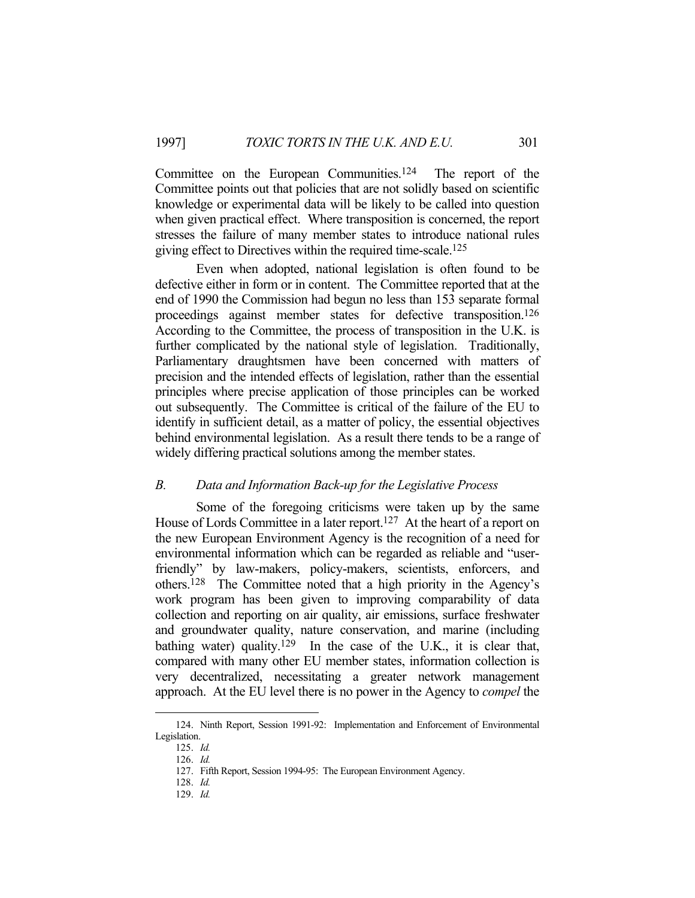Committee on the European Communities.124 The report of the Committee points out that policies that are not solidly based on scientific knowledge or experimental data will be likely to be called into question when given practical effect. Where transposition is concerned, the report stresses the failure of many member states to introduce national rules giving effect to Directives within the required time-scale.125

 Even when adopted, national legislation is often found to be defective either in form or in content. The Committee reported that at the end of 1990 the Commission had begun no less than 153 separate formal proceedings against member states for defective transposition.126 According to the Committee, the process of transposition in the U.K. is further complicated by the national style of legislation. Traditionally, Parliamentary draughtsmen have been concerned with matters of precision and the intended effects of legislation, rather than the essential principles where precise application of those principles can be worked out subsequently. The Committee is critical of the failure of the EU to identify in sufficient detail, as a matter of policy, the essential objectives behind environmental legislation. As a result there tends to be a range of widely differing practical solutions among the member states.

# *B. Data and Information Back-up for the Legislative Process*

 Some of the foregoing criticisms were taken up by the same House of Lords Committee in a later report.<sup>127</sup> At the heart of a report on the new European Environment Agency is the recognition of a need for environmental information which can be regarded as reliable and "userfriendly" by law-makers, policy-makers, scientists, enforcers, and others.128 The Committee noted that a high priority in the Agency's work program has been given to improving comparability of data collection and reporting on air quality, air emissions, surface freshwater and groundwater quality, nature conservation, and marine (including bathing water) quality.<sup>129</sup> In the case of the U.K., it is clear that, compared with many other EU member states, information collection is very decentralized, necessitating a greater network management approach. At the EU level there is no power in the Agency to *compel* the

 <sup>124.</sup> Ninth Report, Session 1991-92: Implementation and Enforcement of Environmental Legislation.

 <sup>125.</sup> *Id.*

 <sup>126.</sup> *Id.*

 <sup>127.</sup> Fifth Report, Session 1994-95: The European Environment Agency.

 <sup>128.</sup> *Id.*

 <sup>129.</sup> *Id.*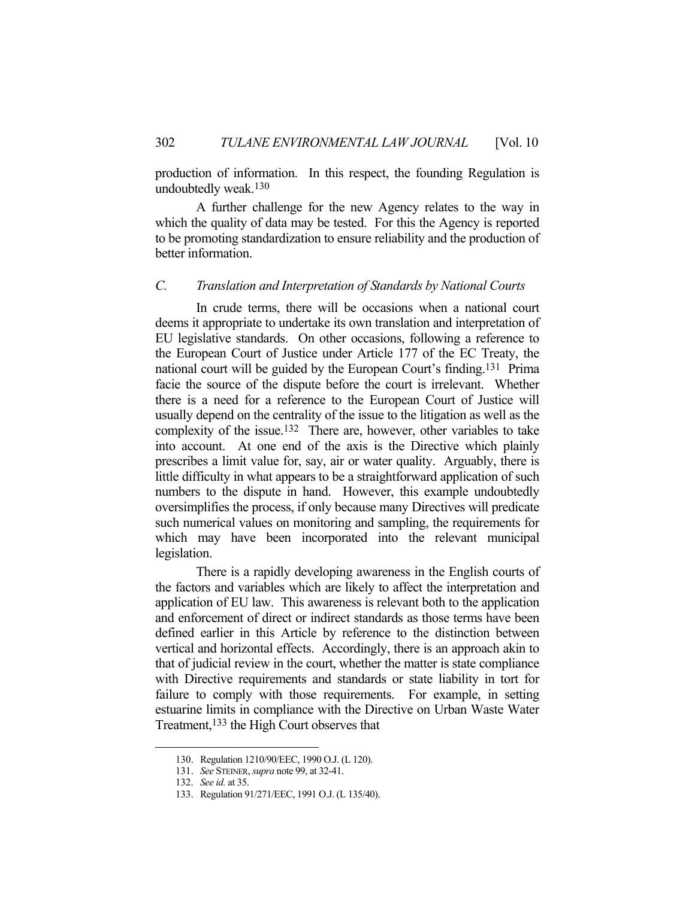production of information. In this respect, the founding Regulation is undoubtedly weak.130

 A further challenge for the new Agency relates to the way in which the quality of data may be tested. For this the Agency is reported to be promoting standardization to ensure reliability and the production of better information.

# *C. Translation and Interpretation of Standards by National Courts*

 In crude terms, there will be occasions when a national court deems it appropriate to undertake its own translation and interpretation of EU legislative standards. On other occasions, following a reference to the European Court of Justice under Article 177 of the EC Treaty, the national court will be guided by the European Court's finding.131 Prima facie the source of the dispute before the court is irrelevant. Whether there is a need for a reference to the European Court of Justice will usually depend on the centrality of the issue to the litigation as well as the complexity of the issue.132 There are, however, other variables to take into account. At one end of the axis is the Directive which plainly prescribes a limit value for, say, air or water quality. Arguably, there is little difficulty in what appears to be a straightforward application of such numbers to the dispute in hand. However, this example undoubtedly oversimplifies the process, if only because many Directives will predicate such numerical values on monitoring and sampling, the requirements for which may have been incorporated into the relevant municipal legislation.

 There is a rapidly developing awareness in the English courts of the factors and variables which are likely to affect the interpretation and application of EU law. This awareness is relevant both to the application and enforcement of direct or indirect standards as those terms have been defined earlier in this Article by reference to the distinction between vertical and horizontal effects. Accordingly, there is an approach akin to that of judicial review in the court, whether the matter is state compliance with Directive requirements and standards or state liability in tort for failure to comply with those requirements. For example, in setting estuarine limits in compliance with the Directive on Urban Waste Water Treatment,<sup>133</sup> the High Court observes that

 <sup>130.</sup> Regulation 1210/90/EEC, 1990 O.J. (L 120).

 <sup>131.</sup> *See* STEINER, *supra* note 99, at 32-41.

 <sup>132.</sup> *See id.* at 35.

 <sup>133.</sup> Regulation 91/271/EEC, 1991 O.J. (L 135/40).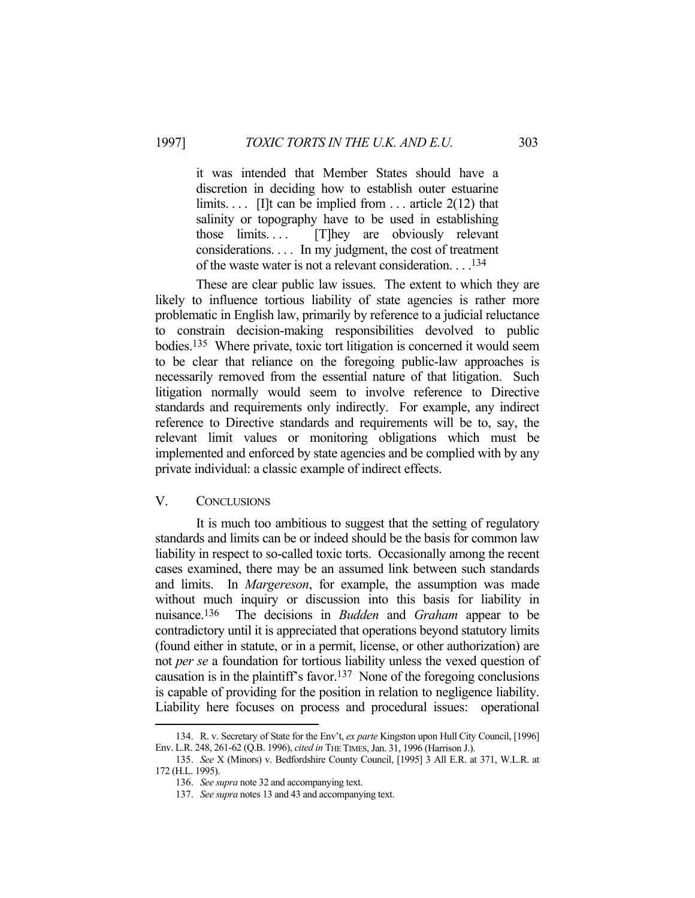it was intended that Member States should have a discretion in deciding how to establish outer estuarine limits.... [I]t can be implied from ... article  $2(12)$  that salinity or topography have to be used in establishing those limits. . . . [T]hey are obviously relevant considerations. . . . In my judgment, the cost of treatment of the waste water is not a relevant consideration. . . .134

 These are clear public law issues. The extent to which they are likely to influence tortious liability of state agencies is rather more problematic in English law, primarily by reference to a judicial reluctance to constrain decision-making responsibilities devolved to public bodies.135 Where private, toxic tort litigation is concerned it would seem to be clear that reliance on the foregoing public-law approaches is necessarily removed from the essential nature of that litigation. Such litigation normally would seem to involve reference to Directive standards and requirements only indirectly. For example, any indirect reference to Directive standards and requirements will be to, say, the relevant limit values or monitoring obligations which must be implemented and enforced by state agencies and be complied with by any private individual: a classic example of indirect effects.

# V. CONCLUSIONS

1

 It is much too ambitious to suggest that the setting of regulatory standards and limits can be or indeed should be the basis for common law liability in respect to so-called toxic torts. Occasionally among the recent cases examined, there may be an assumed link between such standards and limits. In *Margereson*, for example, the assumption was made without much inquiry or discussion into this basis for liability in nuisance.136 The decisions in *Budden* and *Graham* appear to be contradictory until it is appreciated that operations beyond statutory limits (found either in statute, or in a permit, license, or other authorization) are not *per se* a foundation for tortious liability unless the vexed question of causation is in the plaintiff's favor.137 None of the foregoing conclusions is capable of providing for the position in relation to negligence liability. Liability here focuses on process and procedural issues: operational

 <sup>134.</sup> R. v. Secretary of State for the Env't, *ex parte* Kingston upon Hull City Council, [1996] Env. L.R. 248, 261-62 (Q.B. 1996), *cited in* THE TIMES, Jan. 31, 1996 (Harrison J.).

 <sup>135.</sup> *See* X (Minors) v. Bedfordshire County Council, [1995] 3 All E.R. at 371, W.L.R. at 172 (H.L. 1995).

 <sup>136.</sup> *See supra* note 32 and accompanying text.

 <sup>137.</sup> *See supra* notes 13 and 43 and accompanying text.